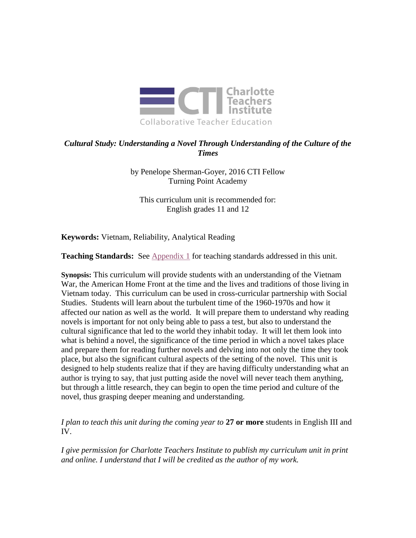

# *Cultural Study: Understanding a Novel Through Understanding of the Culture of the Times*

by Penelope Sherman-Goyer, 2016 CTI Fellow Turning Point Academy

This curriculum unit is recommended for: English grades 11 and 12

**Keywords:** Vietnam, Reliability, Analytical Reading

**Teaching Standards:** See [Appendix 1](#page-13-0) for teaching standards addressed in this unit.

**Synopsis:** This curriculum will provide students with an understanding of the Vietnam War, the American Home Front at the time and the lives and traditions of those living in Vietnam today. This curriculum can be used in cross-curricular partnership with Social Studies. Students will learn about the turbulent time of the 1960-1970s and how it affected our nation as well as the world. It will prepare them to understand why reading novels is important for not only being able to pass a test, but also to understand the cultural significance that led to the world they inhabit today. It will let them look into what is behind a novel, the significance of the time period in which a novel takes place and prepare them for reading further novels and delving into not only the time they took place, but also the significant cultural aspects of the setting of the novel. This unit is designed to help students realize that if they are having difficulty understanding what an author is trying to say, that just putting aside the novel will never teach them anything, but through a little research, they can begin to open the time period and culture of the novel, thus grasping deeper meaning and understanding.

*I plan to teach this unit during the coming year to* **27 or more** students in English III and IV.

*I give permission for Charlotte Teachers Institute to publish my curriculum unit in print and online. I understand that I will be credited as the author of my work.*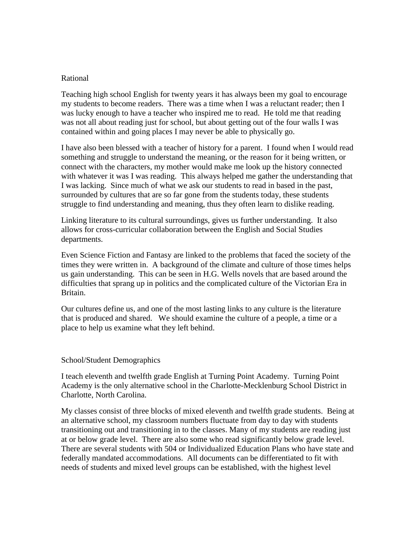# Rational

Teaching high school English for twenty years it has always been my goal to encourage my students to become readers. There was a time when I was a reluctant reader; then I was lucky enough to have a teacher who inspired me to read. He told me that reading was not all about reading just for school, but about getting out of the four walls I was contained within and going places I may never be able to physically go.

I have also been blessed with a teacher of history for a parent. I found when I would read something and struggle to understand the meaning, or the reason for it being written, or connect with the characters, my mother would make me look up the history connected with whatever it was I was reading. This always helped me gather the understanding that I was lacking. Since much of what we ask our students to read in based in the past, surrounded by cultures that are so far gone from the students today, these students struggle to find understanding and meaning, thus they often learn to dislike reading.

Linking literature to its cultural surroundings, gives us further understanding. It also allows for cross-curricular collaboration between the English and Social Studies departments.

Even Science Fiction and Fantasy are linked to the problems that faced the society of the times they were written in. A background of the climate and culture of those times helps us gain understanding. This can be seen in H.G. Wells novels that are based around the difficulties that sprang up in politics and the complicated culture of the Victorian Era in Britain.

Our cultures define us, and one of the most lasting links to any culture is the literature that is produced and shared. We should examine the culture of a people, a time or a place to help us examine what they left behind.

#### School/Student Demographics

I teach eleventh and twelfth grade English at Turning Point Academy. Turning Point Academy is the only alternative school in the Charlotte-Mecklenburg School District in Charlotte, North Carolina.

My classes consist of three blocks of mixed eleventh and twelfth grade students. Being at an alternative school, my classroom numbers fluctuate from day to day with students transitioning out and transitioning in to the classes. Many of my students are reading just at or below grade level. There are also some who read significantly below grade level. There are several students with 504 or Individualized Education Plans who have state and federally mandated accommodations. All documents can be differentiated to fit with needs of students and mixed level groups can be established, with the highest level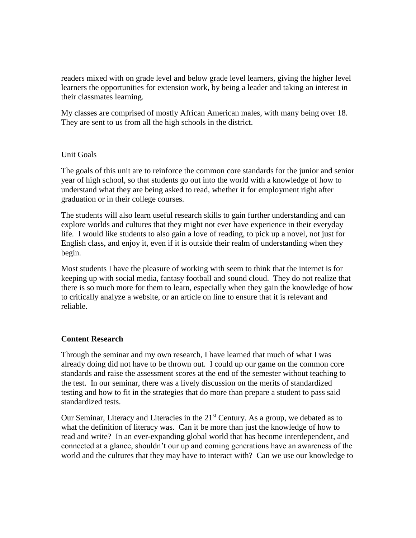readers mixed with on grade level and below grade level learners, giving the higher level learners the opportunities for extension work, by being a leader and taking an interest in their classmates learning.

My classes are comprised of mostly African American males, with many being over 18. They are sent to us from all the high schools in the district.

### Unit Goals

The goals of this unit are to reinforce the common core standards for the junior and senior year of high school, so that students go out into the world with a knowledge of how to understand what they are being asked to read, whether it for employment right after graduation or in their college courses.

The students will also learn useful research skills to gain further understanding and can explore worlds and cultures that they might not ever have experience in their everyday life. I would like students to also gain a love of reading, to pick up a novel, not just for English class, and enjoy it, even if it is outside their realm of understanding when they begin.

Most students I have the pleasure of working with seem to think that the internet is for keeping up with social media, fantasy football and sound cloud. They do not realize that there is so much more for them to learn, especially when they gain the knowledge of how to critically analyze a website, or an article on line to ensure that it is relevant and reliable.

### **Content Research**

Through the seminar and my own research, I have learned that much of what I was already doing did not have to be thrown out. I could up our game on the common core standards and raise the assessment scores at the end of the semester without teaching to the test. In our seminar, there was a lively discussion on the merits of standardized testing and how to fit in the strategies that do more than prepare a student to pass said standardized tests.

Our Seminar, Literacy and Literacies in the  $21<sup>st</sup>$  Century. As a group, we debated as to what the definition of literacy was. Can it be more than just the knowledge of how to read and write? In an ever-expanding global world that has become interdependent, and connected at a glance, shouldn't our up and coming generations have an awareness of the world and the cultures that they may have to interact with? Can we use our knowledge to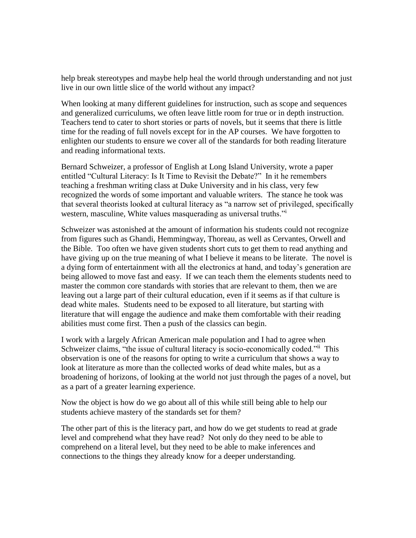help break stereotypes and maybe help heal the world through understanding and not just live in our own little slice of the world without any impact?

When looking at many different guidelines for instruction, such as scope and sequences and generalized curriculums, we often leave little room for true or in depth instruction. Teachers tend to cater to short stories or parts of novels, but it seems that there is little time for the reading of full novels except for in the AP courses. We have forgotten to enlighten our students to ensure we cover all of the standards for both reading literature and reading informational texts.

Bernard Schweizer, a professor of English at Long Island University, wrote a paper entitled "Cultural Literacy: Is It Time to Revisit the Debate?" In it he remembers teaching a freshman writing class at Duke University and in his class, very few recognized the words of some important and valuable writers. The stance he took was that several theorists looked at cultural literacy as "a narrow set of privileged, specifically western, masculine, White values masquerading as universal truths."<sup>i</sup>

Schweizer was astonished at the amount of information his students could not recognize from figures such as Ghandi, Hemmingway, Thoreau, as well as Cervantes, Orwell and the Bible. Too often we have given students short cuts to get them to read anything and have giving up on the true meaning of what I believe it means to be literate. The novel is a dying form of entertainment with all the electronics at hand, and today's generation are being allowed to move fast and easy. If we can teach them the elements students need to master the common core standards with stories that are relevant to them, then we are leaving out a large part of their cultural education, even if it seems as if that culture is dead white males. Students need to be exposed to all literature, but starting with literature that will engage the audience and make them comfortable with their reading abilities must come first. Then a push of the classics can begin.

I work with a largely African American male population and I had to agree when Schweizer claims, "the issue of cultural literacy is socio-economically coded."ii This observation is one of the reasons for opting to write a curriculum that shows a way to look at literature as more than the collected works of dead white males, but as a broadening of horizons, of looking at the world not just through the pages of a novel, but as a part of a greater learning experience.

Now the object is how do we go about all of this while still being able to help our students achieve mastery of the standards set for them?

The other part of this is the literacy part, and how do we get students to read at grade level and comprehend what they have read? Not only do they need to be able to comprehend on a literal level, but they need to be able to make inferences and connections to the things they already know for a deeper understanding.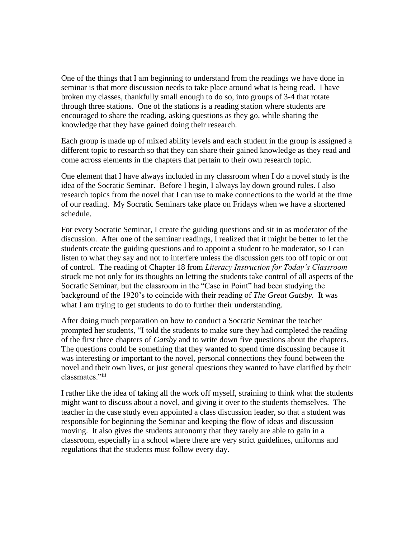One of the things that I am beginning to understand from the readings we have done in seminar is that more discussion needs to take place around what is being read. I have broken my classes, thankfully small enough to do so, into groups of 3-4 that rotate through three stations. One of the stations is a reading station where students are encouraged to share the reading, asking questions as they go, while sharing the knowledge that they have gained doing their research.

Each group is made up of mixed ability levels and each student in the group is assigned a different topic to research so that they can share their gained knowledge as they read and come across elements in the chapters that pertain to their own research topic.

One element that I have always included in my classroom when I do a novel study is the idea of the Socratic Seminar. Before I begin, I always lay down ground rules. I also research topics from the novel that I can use to make connections to the world at the time of our reading. My Socratic Seminars take place on Fridays when we have a shortened schedule.

For every Socratic Seminar, I create the guiding questions and sit in as moderator of the discussion. After one of the seminar readings, I realized that it might be better to let the students create the guiding questions and to appoint a student to be moderator, so I can listen to what they say and not to interfere unless the discussion gets too off topic or out of control. The reading of Chapter 18 from *Literacy Instruction for Today's Classroom* struck me not only for its thoughts on letting the students take control of all aspects of the Socratic Seminar, but the classroom in the "Case in Point" had been studying the background of the 1920's to coincide with their reading of *The Great Gatsby.* It was what I am trying to get students to do to further their understanding.

After doing much preparation on how to conduct a Socratic Seminar the teacher prompted her students, "I told the students to make sure they had completed the reading of the first three chapters of *Gatsby* and to write down five questions about the chapters. The questions could be something that they wanted to spend time discussing because it was interesting or important to the novel, personal connections they found between the novel and their own lives, or just general questions they wanted to have clarified by their classmates."iii

I rather like the idea of taking all the work off myself, straining to think what the students might want to discuss about a novel, and giving it over to the students themselves. The teacher in the case study even appointed a class discussion leader, so that a student was responsible for beginning the Seminar and keeping the flow of ideas and discussion moving. It also gives the students autonomy that they rarely are able to gain in a classroom, especially in a school where there are very strict guidelines, uniforms and regulations that the students must follow every day.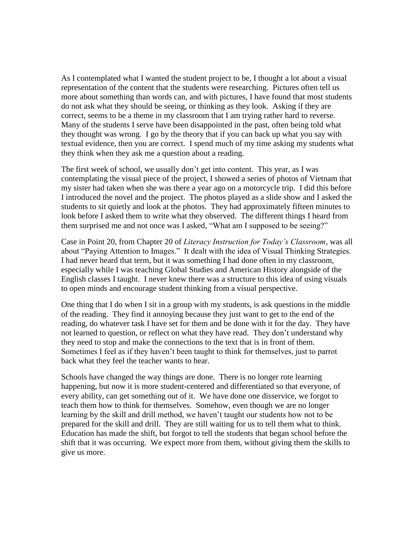As I contemplated what I wanted the student project to be, I thought a lot about a visual representation of the content that the students were researching. Pictures often tell us more about something than words can, and with pictures, I have found that most students do not ask what they should be seeing, or thinking as they look. Asking if they are correct, seems to be a theme in my classroom that I am trying rather hard to reverse. Many of the students I serve have been disappointed in the past, often being told what they thought was wrong. I go by the theory that if you can back up what you say with textual evidence, then you are correct. I spend much of my time asking my students what they think when they ask me a question about a reading.

The first week of school, we usually don't get into content. This year, as I was contemplating the visual piece of the project, I showed a series of photos of Vietnam that my sister had taken when she was there a year ago on a motorcycle trip. I did this before I introduced the novel and the project. The photos played as a slide show and I asked the students to sit quietly and look at the photos. They had approximately fifteen minutes to look before I asked them to write what they observed. The different things I heard from them surprised me and not once was I asked, "What am I supposed to be seeing?"

Case in Point 20, from Chapter 20 of *Literacy Instruction for Today's Classroom*, was all about "Paying Attention to Images." It dealt with the idea of Visual Thinking Strategies. I had never heard that term, but it was something I had done often in my classroom, especially while I was teaching Global Studies and American History alongside of the English classes I taught. I never knew there was a structure to this idea of using visuals to open minds and encourage student thinking from a visual perspective.

One thing that I do when I sit in a group with my students, is ask questions in the middle of the reading. They find it annoying because they just want to get to the end of the reading, do whatever task I have set for them and be done with it for the day. They have not learned to question, or reflect on what they have read. They don't understand why they need to stop and make the connections to the text that is in front of them. Sometimes I feel as if they haven't been taught to think for themselves, just to parrot back what they feel the teacher wants to hear.

Schools have changed the way things are done. There is no longer rote learning happening, but now it is more student-centered and differentiated so that everyone, of every ability, can get something out of it. We have done one disservice, we forgot to teach them how to think for themselves. Somehow, even though we are no longer learning by the skill and drill method, we haven't taught our students how not to be prepared for the skill and drill. They are still waiting for us to tell them what to think. Education has made the shift, but forgot to tell the students that began school before the shift that it was occurring. We expect more from them, without giving them the skills to give us more.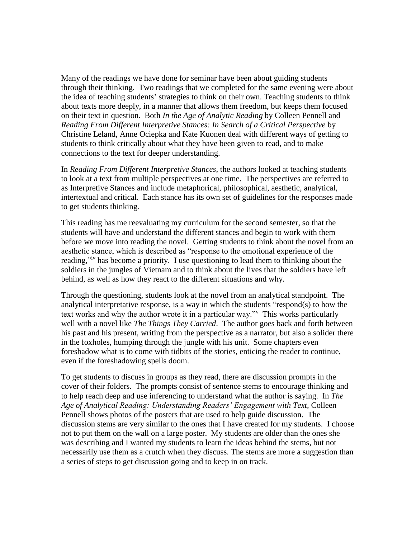Many of the readings we have done for seminar have been about guiding students through their thinking. Two readings that we completed for the same evening were about the idea of teaching students' strategies to think on their own. Teaching students to think about texts more deeply, in a manner that allows them freedom, but keeps them focused on their text in question. Both *In the Age of Analytic Reading* by Colleen Pennell and *Reading From Different Interpretive Stances: In Search of a Critical Perspective* by Christine Leland, Anne Ociepka and Kate Kuonen deal with different ways of getting to students to think critically about what they have been given to read, and to make connections to the text for deeper understanding.

In *Reading From Different Interpretive Stances*, the authors looked at teaching students to look at a text from multiple perspectives at one time. The perspectives are referred to as Interpretive Stances and include metaphorical, philosophical, aesthetic, analytical, intertextual and critical. Each stance has its own set of guidelines for the responses made to get students thinking.

This reading has me reevaluating my curriculum for the second semester, so that the students will have and understand the different stances and begin to work with them before we move into reading the novel. Getting students to think about the novel from an aesthetic stance, which is described as "response to the emotional experience of the reading,"<sup>iv</sup> has become a priority. I use questioning to lead them to thinking about the soldiers in the jungles of Vietnam and to think about the lives that the soldiers have left behind, as well as how they react to the different situations and why.

Through the questioning, students look at the novel from an analytical standpoint. The analytical interpretative response, is a way in which the students "respond(s) to how the text works and why the author wrote it in a particular way."<sup>v</sup> This works particularly well with a novel like *The Things They Carried*. The author goes back and forth between his past and his present, writing from the perspective as a narrator, but also a solider there in the foxholes, humping through the jungle with his unit. Some chapters even foreshadow what is to come with tidbits of the stories, enticing the reader to continue, even if the foreshadowing spells doom.

To get students to discuss in groups as they read, there are discussion prompts in the cover of their folders. The prompts consist of sentence stems to encourage thinking and to help reach deep and use inferencing to understand what the author is saying. In *The Age of Analytical Reading: Understanding Readers' Engagement with Text,* Colleen Pennell shows photos of the posters that are used to help guide discussion. The discussion stems are very similar to the ones that I have created for my students. I choose not to put them on the wall on a large poster. My students are older than the ones she was describing and I wanted my students to learn the ideas behind the stems, but not necessarily use them as a crutch when they discuss. The stems are more a suggestion than a series of steps to get discussion going and to keep in on track.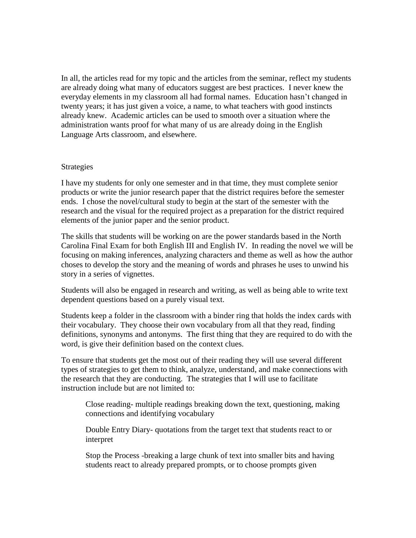In all, the articles read for my topic and the articles from the seminar, reflect my students are already doing what many of educators suggest are best practices. I never knew the everyday elements in my classroom all had formal names. Education hasn't changed in twenty years; it has just given a voice, a name, to what teachers with good instincts already knew. Academic articles can be used to smooth over a situation where the administration wants proof for what many of us are already doing in the English Language Arts classroom, and elsewhere.

#### Strategies

I have my students for only one semester and in that time, they must complete senior products or write the junior research paper that the district requires before the semester ends. I chose the novel/cultural study to begin at the start of the semester with the research and the visual for the required project as a preparation for the district required elements of the junior paper and the senior product.

The skills that students will be working on are the power standards based in the North Carolina Final Exam for both English III and English IV. In reading the novel we will be focusing on making inferences, analyzing characters and theme as well as how the author choses to develop the story and the meaning of words and phrases he uses to unwind his story in a series of vignettes.

Students will also be engaged in research and writing, as well as being able to write text dependent questions based on a purely visual text.

Students keep a folder in the classroom with a binder ring that holds the index cards with their vocabulary. They choose their own vocabulary from all that they read, finding definitions, synonyms and antonyms. The first thing that they are required to do with the word, is give their definition based on the context clues.

To ensure that students get the most out of their reading they will use several different types of strategies to get them to think, analyze, understand, and make connections with the research that they are conducting. The strategies that I will use to facilitate instruction include but are not limited to:

Close reading- multiple readings breaking down the text, questioning, making connections and identifying vocabulary

Double Entry Diary- quotations from the target text that students react to or interpret

Stop the Process -breaking a large chunk of text into smaller bits and having students react to already prepared prompts, or to choose prompts given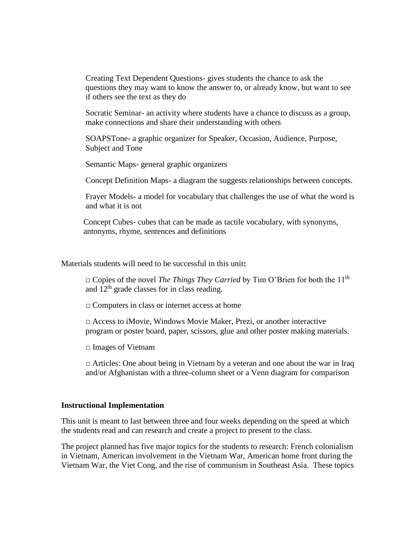Creating Text Dependent Questions- gives students the chance to ask the questions they may want to know the answer to, or already know, but want to see if others see the text as they do

Socratic Seminar- an activity where students have a chance to discuss as a group, make connections and share their understanding with others

SOAPSTone- a graphic organizer for Speaker, Occasion, Audience, Purpose, Subject and Tone

Semantic Maps- general graphic organizers

Concept Definition Maps- a diagram the suggests relationships between concepts.

Frayer Models- a model for vocabulary that challenges the use of what the word is and what it is not

Concept Cubes- cubes that can be made as tactile vocabulary, with synonyms, antonyms, rhyme, sentences and definitions

Materials students will need to be successful in this unit**:**

□ Copies of the novel *The Things They Carried* by Tim O'Brien for both the 11<sup>th</sup> and 12th grade classes for in class reading.

□ Computers in class or internet access at home

**□** Access to iMovie, Windows Movie Maker, Prezi, or another interactive program or poster board, paper, scissors, glue and other poster making materials.

**□** Images of Vietnam

**□** Articles: One about being in Vietnam by a veteran and one about the war in Iraq and/or Afghanistan with a three-column sheet or a Venn diagram for comparison

#### **Instructional Implementation**

This unit is meant to last between three and four weeks depending on the speed at which the students read and can research and create a project to present to the class.

The project planned has five major topics for the students to research: French colonialism in Vietnam, American involvement in the Vietnam War, American home front during the Vietnam War, the Viet Cong, and the rise of communism in Southeast Asia. These topics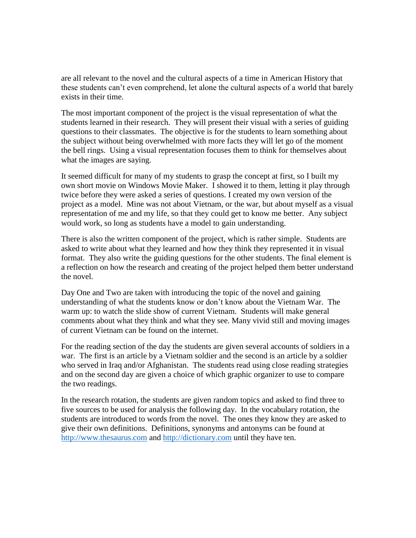are all relevant to the novel and the cultural aspects of a time in American History that these students can't even comprehend, let alone the cultural aspects of a world that barely exists in their time.

The most important component of the project is the visual representation of what the students learned in their research. They will present their visual with a series of guiding questions to their classmates. The objective is for the students to learn something about the subject without being overwhelmed with more facts they will let go of the moment the bell rings. Using a visual representation focuses them to think for themselves about what the images are saying.

It seemed difficult for many of my students to grasp the concept at first, so I built my own short movie on Windows Movie Maker. I showed it to them, letting it play through twice before they were asked a series of questions. I created my own version of the project as a model. Mine was not about Vietnam, or the war, but about myself as a visual representation of me and my life, so that they could get to know me better. Any subject would work, so long as students have a model to gain understanding.

There is also the written component of the project, which is rather simple. Students are asked to write about what they learned and how they think they represented it in visual format. They also write the guiding questions for the other students. The final element is a reflection on how the research and creating of the project helped them better understand the novel.

Day One and Two are taken with introducing the topic of the novel and gaining understanding of what the students know or don't know about the Vietnam War. The warm up: to watch the slide show of current Vietnam. Students will make general comments about what they think and what they see. Many vivid still and moving images of current Vietnam can be found on the internet.

For the reading section of the day the students are given several accounts of soldiers in a war. The first is an article by a Vietnam soldier and the second is an article by a soldier who served in Iraq and/or Afghanistan. The students read using close reading strategies and on the second day are given a choice of which graphic organizer to use to compare the two readings.

In the research rotation, the students are given random topics and asked to find three to five sources to be used for analysis the following day. In the vocabulary rotation, the students are introduced to words from the novel. The ones they know they are asked to give their own definitions. Definitions, synonyms and antonyms can be found at [http://www.thesaurus.com](http://www.thesaurus.com/) and [http://dictionary.com](http://dictionary.com/) until they have ten.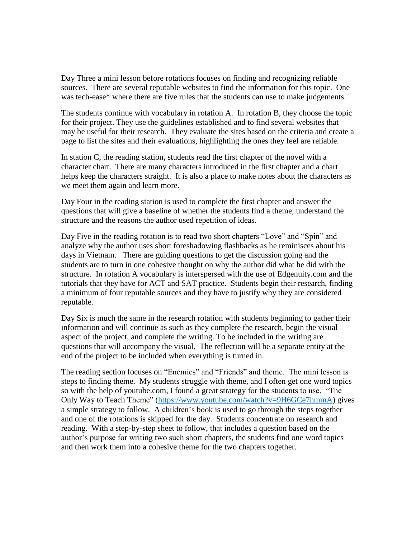Day Three a mini lesson before rotations focuses on finding and recognizing reliable sources. There are several reputable websites to find the information for this topic. One was tech-ease\* where there are five rules that the students can use to make judgements.

The students continue with vocabulary in rotation A. In rotation B, they choose the topic for their project. They use the guidelines established and to find several websites that may be useful for their research. They evaluate the sites based on the criteria and create a page to list the sites and their evaluations, highlighting the ones they feel are reliable.

In station C, the reading station, students read the first chapter of the novel with a character chart. There are many characters introduced in the first chapter and a chart helps keep the characters straight. It is also a place to make notes about the characters as we meet them again and learn more.

Day Four in the reading station is used to complete the first chapter and answer the questions that will give a baseline of whether the students find a theme, understand the structure and the reasons the author used repetition of ideas.

Day Five in the reading rotation is to read two short chapters "Love" and "Spin" and analyze why the author uses short foreshadowing flashbacks as he reminisces about his days in Vietnam. There are guiding questions to get the discussion going and the students are to turn in one cohesive thought on why the author did what he did with the structure. In rotation A vocabulary is interspersed with the use of Edgenuity.com and the tutorials that they have for ACT and SAT practice. Students begin their research, finding a minimum of four reputable sources and they have to justify why they are considered reputable.

Day Six is much the same in the research rotation with students beginning to gather their information and will continue as such as they complete the research, begin the visual aspect of the project, and complete the writing. To be included in the writing are questions that will accompany the visual. The reflection will be a separate entity at the end of the project to be included when everything is turned in.

The reading section focuses on "Enemies" and "Friends" and theme. The mini lesson is steps to finding theme. My students struggle with theme, and I often get one word topics so with the help of youtube.com, I found a great strategy for the students to use. "The Only Way to Teach Theme" [\(https://www.youtube.com/watch?v=9H6GCe7hmmA\)](https://www.youtube.com/watch?v=9H6GCe7hmmA) gives a simple strategy to follow. A children's book is used to go through the steps together and one of the rotations is skipped for the day. Students concentrate on research and reading. With a step-by-step sheet to follow, that includes a question based on the author's purpose for writing two such short chapters, the students find one word topics and then work them into a cohesive theme for the two chapters together.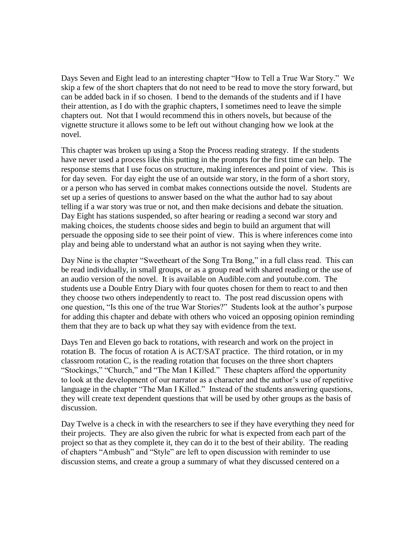Days Seven and Eight lead to an interesting chapter "How to Tell a True War Story." We skip a few of the short chapters that do not need to be read to move the story forward, but can be added back in if so chosen. I bend to the demands of the students and if I have their attention, as I do with the graphic chapters, I sometimes need to leave the simple chapters out. Not that I would recommend this in others novels, but because of the vignette structure it allows some to be left out without changing how we look at the novel.

This chapter was broken up using a Stop the Process reading strategy. If the students have never used a process like this putting in the prompts for the first time can help. The response stems that I use focus on structure, making inferences and point of view. This is for day seven. For day eight the use of an outside war story, in the form of a short story, or a person who has served in combat makes connections outside the novel. Students are set up a series of questions to answer based on the what the author had to say about telling if a war story was true or not, and then make decisions and debate the situation. Day Eight has stations suspended, so after hearing or reading a second war story and making choices, the students choose sides and begin to build an argument that will persuade the opposing side to see their point of view. This is where inferences come into play and being able to understand what an author is not saying when they write.

Day Nine is the chapter "Sweetheart of the Song Tra Bong," in a full class read. This can be read individually, in small groups, or as a group read with shared reading or the use of an audio version of the novel. It is available on Audible.com and youtube.com. The students use a Double Entry Diary with four quotes chosen for them to react to and then they choose two others independently to react to. The post read discussion opens with one question, "Is this one of the true War Stories?" Students look at the author's purpose for adding this chapter and debate with others who voiced an opposing opinion reminding them that they are to back up what they say with evidence from the text.

Days Ten and Eleven go back to rotations, with research and work on the project in rotation B. The focus of rotation A is ACT/SAT practice. The third rotation, or in my classroom rotation C, is the reading rotation that focuses on the three short chapters "Stockings," "Church," and "The Man I Killed." These chapters afford the opportunity to look at the development of our narrator as a character and the author's use of repetitive language in the chapter "The Man I Killed." Instead of the students answering questions, they will create text dependent questions that will be used by other groups as the basis of discussion.

Day Twelve is a check in with the researchers to see if they have everything they need for their projects. They are also given the rubric for what is expected from each part of the project so that as they complete it, they can do it to the best of their ability. The reading of chapters "Ambush" and "Style" are left to open discussion with reminder to use discussion stems, and create a group a summary of what they discussed centered on a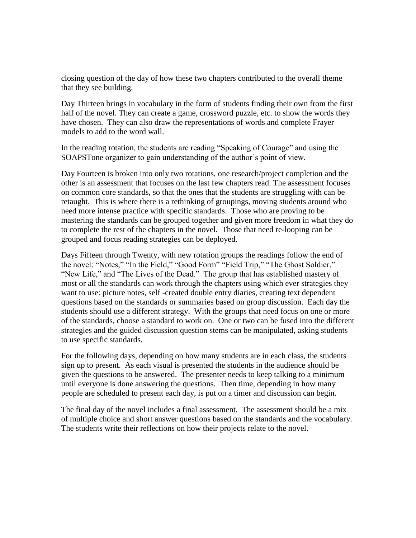closing question of the day of how these two chapters contributed to the overall theme that they see building.

Day Thirteen brings in vocabulary in the form of students finding their own from the first half of the novel. They can create a game, crossword puzzle, etc. to show the words they have chosen. They can also draw the representations of words and complete Frayer models to add to the word wall.

In the reading rotation, the students are reading "Speaking of Courage" and using the SOAPSTone organizer to gain understanding of the author's point of view.

Day Fourteen is broken into only two rotations, one research/project completion and the other is an assessment that focuses on the last few chapters read. The assessment focuses on common core standards, so that the ones that the students are struggling with can be retaught. This is where there is a rethinking of groupings, moving students around who need more intense practice with specific standards. Those who are proving to be mastering the standards can be grouped together and given more freedom in what they do to complete the rest of the chapters in the novel. Those that need re-looping can be grouped and focus reading strategies can be deployed.

Days Fifteen through Twenty, with new rotation groups the readings follow the end of the novel: "Notes," "In the Field," "Good Form" "Field Trip," "The Ghost Soldier," "New Life," and "The Lives of the Dead." The group that has established mastery of most or all the standards can work through the chapters using which ever strategies they want to use: picture notes, self -created double entry diaries, creating text dependent questions based on the standards or summaries based on group discussion. Each day the students should use a different strategy. With the groups that need focus on one or more of the standards, choose a standard to work on. One or two can be fused into the different strategies and the guided discussion question stems can be manipulated, asking students to use specific standards.

For the following days, depending on how many students are in each class, the students sign up to present. As each visual is presented the students in the audience should be given the questions to be answered. The presenter needs to keep talking to a minimum until everyone is done answering the questions. Then time, depending in how many people are scheduled to present each day, is put on a timer and discussion can begin.

The final day of the novel includes a final assessment. The assessment should be a mix of multiple choice and short answer questions based on the standards and the vocabulary. The students write their reflections on how their projects relate to the novel.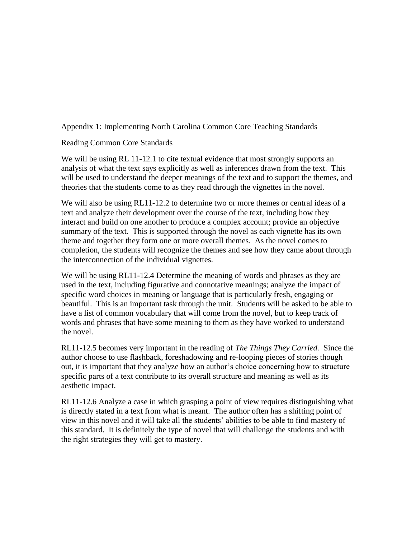# <span id="page-13-0"></span>Appendix 1: Implementing North Carolina Common Core Teaching Standards

# Reading Common Core Standards

We will be using RL 11-12.1 to cite textual evidence that most strongly supports an analysis of what the text says explicitly as well as inferences drawn from the text. This will be used to understand the deeper meanings of the text and to support the themes, and theories that the students come to as they read through the vignettes in the novel.

We will also be using RL11-12.2 to determine two or more themes or central ideas of a text and analyze their development over the course of the text, including how they interact and build on one another to produce a complex account; provide an objective summary of the text. This is supported through the novel as each vignette has its own theme and together they form one or more overall themes. As the novel comes to completion, the students will recognize the themes and see how they came about through the interconnection of the individual vignettes.

We will be using RL11-12.4 Determine the meaning of words and phrases as they are used in the text, including figurative and connotative meanings; analyze the impact of specific word choices in meaning or language that is particularly fresh, engaging or beautiful. This is an important task through the unit. Students will be asked to be able to have a list of common vocabulary that will come from the novel, but to keep track of words and phrases that have some meaning to them as they have worked to understand the novel.

RL11-12.5 becomes very important in the reading of *The Things They Carried.* Since the author choose to use flashback, foreshadowing and re-looping pieces of stories though out, it is important that they analyze how an author's choice concerning how to structure specific parts of a text contribute to its overall structure and meaning as well as its aesthetic impact.

RL11-12.6 Analyze a case in which grasping a point of view requires distinguishing what is directly stated in a text from what is meant. The author often has a shifting point of view in this novel and it will take all the students' abilities to be able to find mastery of this standard. It is definitely the type of novel that will challenge the students and with the right strategies they will get to mastery.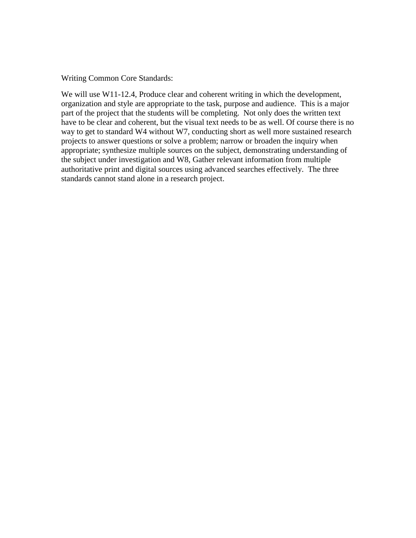Writing Common Core Standards:

We will use W11-12.4, Produce clear and coherent writing in which the development, organization and style are appropriate to the task, purpose and audience. This is a major part of the project that the students will be completing. Not only does the written text have to be clear and coherent, but the visual text needs to be as well. Of course there is no way to get to standard W4 without W7, conducting short as well more sustained research projects to answer questions or solve a problem; narrow or broaden the inquiry when appropriate; synthesize multiple sources on the subject, demonstrating understanding of the subject under investigation and W8, Gather relevant information from multiple authoritative print and digital sources using advanced searches effectively. The three standards cannot stand alone in a research project.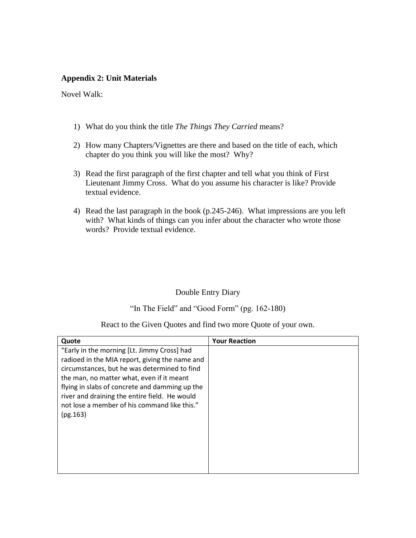# **Appendix 2: Unit Materials**

Novel Walk:

- 1) What do you think the title *The Things They Carried* means?
- 2) How many Chapters/Vignettes are there and based on the title of each, which chapter do you think you will like the most? Why?
- 3) Read the first paragraph of the first chapter and tell what you think of First Lieutenant Jimmy Cross. What do you assume his character is like? Provide textual evidence.
- 4) Read the last paragraph in the book (p.245-246). What impressions are you left with? What kinds of things can you infer about the character who wrote those words? Provide textual evidence.

### Double Entry Diary

"In The Field" and "Good Form" (pg. 162-180)

React to the Given Quotes and find two more Quote of your own.

| Quote                                                                                                                                                                                                                                                                                                                                                     | <b>Your Reaction</b> |
|-----------------------------------------------------------------------------------------------------------------------------------------------------------------------------------------------------------------------------------------------------------------------------------------------------------------------------------------------------------|----------------------|
| "Early in the morning [Lt. Jimmy Cross] had<br>radioed in the MIA report, giving the name and<br>circumstances, but he was determined to find<br>the man, no matter what, even if it meant<br>flying in slabs of concrete and damming up the<br>river and draining the entire field. He would<br>not lose a member of his command like this."<br>(pg.163) |                      |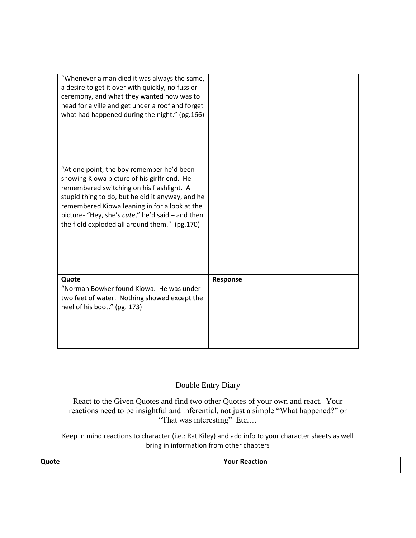| "Whenever a man died it was always the same,<br>a desire to get it over with quickly, no fuss or<br>ceremony, and what they wanted now was to<br>head for a ville and get under a roof and forget<br>what had happened during the night." (pg.166)<br>"At one point, the boy remember he'd been<br>showing Kiowa picture of his girlfriend. He<br>remembered switching on his flashlight. A<br>stupid thing to do, but he did it anyway, and he<br>remembered Kiowa leaning in for a look at the<br>picture- "Hey, she's cute," he'd said - and then<br>the field exploded all around them." (pg.170) |          |
|-------------------------------------------------------------------------------------------------------------------------------------------------------------------------------------------------------------------------------------------------------------------------------------------------------------------------------------------------------------------------------------------------------------------------------------------------------------------------------------------------------------------------------------------------------------------------------------------------------|----------|
| Quote                                                                                                                                                                                                                                                                                                                                                                                                                                                                                                                                                                                                 | Response |
| "Norman Bowker found Kiowa. He was under                                                                                                                                                                                                                                                                                                                                                                                                                                                                                                                                                              |          |
| two feet of water. Nothing showed except the                                                                                                                                                                                                                                                                                                                                                                                                                                                                                                                                                          |          |
| heel of his boot." (pg. 173)                                                                                                                                                                                                                                                                                                                                                                                                                                                                                                                                                                          |          |
|                                                                                                                                                                                                                                                                                                                                                                                                                                                                                                                                                                                                       |          |
|                                                                                                                                                                                                                                                                                                                                                                                                                                                                                                                                                                                                       |          |
|                                                                                                                                                                                                                                                                                                                                                                                                                                                                                                                                                                                                       |          |
|                                                                                                                                                                                                                                                                                                                                                                                                                                                                                                                                                                                                       |          |

# Double Entry Diary

React to the Given Quotes and find two other Quotes of your own and react. Your reactions need to be insightful and inferential, not just a simple "What happened?" or "That was interesting" Etc....

Keep in mind reactions to character (i.e.: Rat Kiley) and add info to your character sheets as well bring in information from other chapters

| <b>Quote</b> | <b>Your Reaction</b> |
|--------------|----------------------|
|              |                      |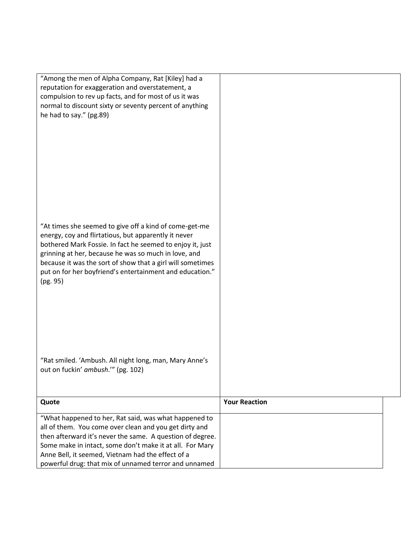| "Among the men of Alpha Company, Rat [Kiley] had a<br>reputation for exaggeration and overstatement, a<br>compulsion to rev up facts, and for most of us it was<br>normal to discount sixty or seventy percent of anything<br>he had to say." (pg.89)<br>"At times she seemed to give off a kind of come-get-me<br>energy, coy and flirtatious, but apparently it never<br>bothered Mark Fossie. In fact he seemed to enjoy it, just |                      |
|--------------------------------------------------------------------------------------------------------------------------------------------------------------------------------------------------------------------------------------------------------------------------------------------------------------------------------------------------------------------------------------------------------------------------------------|----------------------|
| grinning at her, because he was so much in love, and<br>because it was the sort of show that a girl will sometimes<br>put on for her boyfriend's entertainment and education."<br>(pg. 95)                                                                                                                                                                                                                                           |                      |
| "Rat smiled. 'Ambush. All night long, man, Mary Anne's<br>out on fuckin' ambush."" (pg. 102)                                                                                                                                                                                                                                                                                                                                         |                      |
| Quote                                                                                                                                                                                                                                                                                                                                                                                                                                | <b>Your Reaction</b> |
| "What happened to her, Rat said, was what happened to<br>all of them. You come over clean and you get dirty and<br>then afterward it's never the same. A question of degree.                                                                                                                                                                                                                                                         |                      |
| Some make in intact, some don't make it at all. For Mary                                                                                                                                                                                                                                                                                                                                                                             |                      |
| Anne Bell, it seemed, Vietnam had the effect of a<br>powerful drug: that mix of unnamed terror and unnamed                                                                                                                                                                                                                                                                                                                           |                      |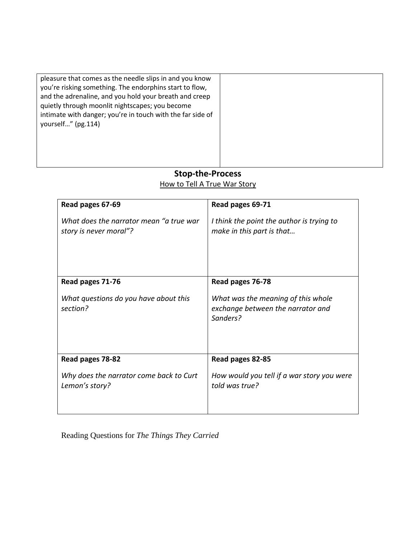pleasure that comes as the needle slips in and you know you're risking something. The endorphins start to flow, and the adrenaline, and you hold your breath and creep quietly through moonlit nightscapes; you become intimate with danger; you're in touch with the far side of yourself…" (pg.114)

# **Stop-the-Process** How to Tell A True War Story

| Read pages 67-69                                                  | Read pages 69-71                                                                    |
|-------------------------------------------------------------------|-------------------------------------------------------------------------------------|
| What does the narrator mean "a true war<br>story is never moral"? | I think the point the author is trying to<br>make in this part is that              |
| Read pages 71-76                                                  | Read pages 76-78                                                                    |
| What questions do you have about this<br>section?                 | What was the meaning of this whole<br>exchange between the narrator and<br>Sanders? |
| Read pages 78-82                                                  | Read pages 82-85                                                                    |
| Why does the narrator come back to Curt<br>Lemon's story?         | How would you tell if a war story you were<br>told was true?                        |

Reading Questions for *The Things They Carried*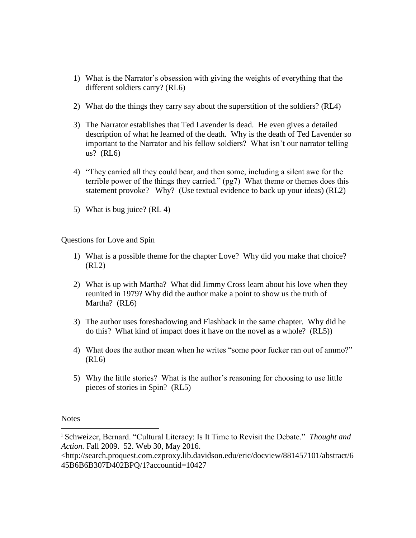- 1) What is the Narrator's obsession with giving the weights of everything that the different soldiers carry? (RL6)
- 2) What do the things they carry say about the superstition of the soldiers? (RL4)
- 3) The Narrator establishes that Ted Lavender is dead. He even gives a detailed description of what he learned of the death. Why is the death of Ted Lavender so important to the Narrator and his fellow soldiers? What isn't our narrator telling us? (RL6)
- 4) "They carried all they could bear, and then some, including a silent awe for the terrible power of the things they carried." (pg7) What theme or themes does this statement provoke? Why? (Use textual evidence to back up your ideas) (RL2)
- 5) What is bug juice? (RL 4)

Questions for Love and Spin

- 1) What is a possible theme for the chapter Love? Why did you make that choice? (RL2)
- 2) What is up with Martha? What did Jimmy Cross learn about his love when they reunited in 1979? Why did the author make a point to show us the truth of Martha? (RL6)
- 3) The author uses foreshadowing and Flashback in the same chapter. Why did he do this? What kind of impact does it have on the novel as a whole? (RL5))
- 4) What does the author mean when he writes "some poor fucker ran out of ammo?" (RL6)
- 5) Why the little stories? What is the author's reasoning for choosing to use little pieces of stories in Spin? (RL5)

**Notes** 

 $\overline{\phantom{a}}$ 

<sup>i</sup> Schweizer, Bernard. "Cultural Literacy: Is It Time to Revisit the Debate." *Thought and Action.* Fall 2009. 52. Web 30, May 2016.

<sup>&</sup>lt;http://search.proquest.com.ezproxy.lib.davidson.edu/eric/docview/881457101/abstract/6 45B6B6B307D402BPQ/1?accountid=10427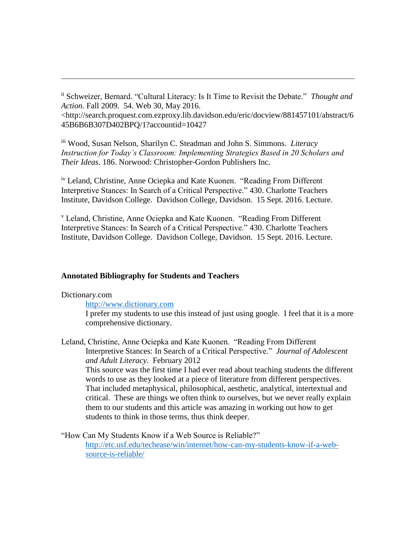ii Schweizer, Bernard. "Cultural Literacy: Is It Time to Revisit the Debate." *Thought and Action.* Fall 2009. 54. Web 30, May 2016.

<http://search.proquest.com.ezproxy.lib.davidson.edu/eric/docview/881457101/abstract/6 45B6B6B307D402BPQ/1?accountid=10427

iii Wood, Susan Nelson, Sharilyn C. Steadman and John S. Simmons. *Literacy Instruction for Today's Classroom: Implementing Strategies Based in 20 Scholars and Their Ideas.* 186. Norwood: Christopher-Gordon Publishers Inc.

iv Leland, Christine, Anne Ociepka and Kate Kuonen. "Reading From Different Interpretive Stances: In Search of a Critical Perspective." 430. Charlotte Teachers Institute, Davidson College. Davidson College, Davidson. 15 Sept. 2016. Lecture.

<sup>v</sup> Leland, Christine, Anne Ociepka and Kate Kuonen. "Reading From Different Interpretive Stances: In Search of a Critical Perspective." 430. Charlotte Teachers Institute, Davidson College. Davidson College, Davidson. 15 Sept. 2016. Lecture.

### **Annotated Bibliography for Students and Teachers**

Dictionary.com

 $\overline{\phantom{a}}$ 

[http://www.dictionary.com](http://www.dictionary.com/) 

I prefer my students to use this instead of just using google. I feel that it is a more comprehensive dictionary.

Leland, Christine, Anne Ociepka and Kate Kuonen. "Reading From Different Interpretive Stances: In Search of a Critical Perspective." *Journal of Adolescent and Adult Literacy.* February 2012

This source was the first time I had ever read about teaching students the different words to use as they looked at a piece of literature from different perspectives. That included metaphysical, philosophical, aesthetic, analytical, intertextual and critical. These are things we often think to ourselves, but we never really explain them to our students and this article was amazing in working out how to get students to think in those terms, thus think deeper.

"How Can My Students Know if a Web Source is Reliable?" [http://etc.usf.edu/techease/win/internet/how-can-my-students-know-if-a-web](http://etc.usf.edu/techease/win/internet/how-can-my-students-know-if-a-web-source-is-reliable/)[source-is-reliable/](http://etc.usf.edu/techease/win/internet/how-can-my-students-know-if-a-web-source-is-reliable/)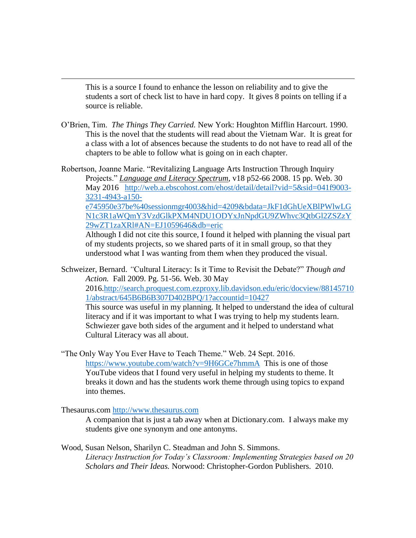This is a source I found to enhance the lesson on reliability and to give the students a sort of check list to have in hard copy. It gives 8 points on telling if a source is reliable.

O'Brien, Tim. *The Things They Carried.* New York: Houghton Mifflin Harcourt. 1990. This is the novel that the students will read about the Vietnam War. It is great for a class with a lot of absences because the students to do not have to read all of the chapters to be able to follow what is going on in each chapter.

Robertson, Joanne Marie. "Revitalizing Language Arts Instruction Through Inquiry Projects." *Language [and Literacy Spectrum](javascript:__doLinkPostBack()*, v18 p52-66 2008. 15 pp. Web. 30 May 2016 [http://web.a.ebscohost.com/ehost/detail/detail?vid=5&sid=041f9003-](http://web.a.ebscohost.com/ehost/detail/detail?vid=5&sid=041f9003-3231-4943-a150-e745950e37be%40sessionmgr4003&hid=4209&bdata=JkF1dGhUeXBlPWlwLGN1c3R1aWQmY3VzdGlkPXM4NDU1ODYxJnNpdGU9ZWhvc3QtbGl2ZSZzY29wZT1zaXRl#AN=EJ1059646&db=eric) [3231-4943-a150](http://web.a.ebscohost.com/ehost/detail/detail?vid=5&sid=041f9003-3231-4943-a150-e745950e37be%40sessionmgr4003&hid=4209&bdata=JkF1dGhUeXBlPWlwLGN1c3R1aWQmY3VzdGlkPXM4NDU1ODYxJnNpdGU9ZWhvc3QtbGl2ZSZzY29wZT1zaXRl#AN=EJ1059646&db=eric) [e745950e37be%40sessionmgr4003&hid=4209&bdata=JkF1dGhUeXBlPWlwLG](http://web.a.ebscohost.com/ehost/detail/detail?vid=5&sid=041f9003-3231-4943-a150-e745950e37be%40sessionmgr4003&hid=4209&bdata=JkF1dGhUeXBlPWlwLGN1c3R1aWQmY3VzdGlkPXM4NDU1ODYxJnNpdGU9ZWhvc3QtbGl2ZSZzY29wZT1zaXRl#AN=EJ1059646&db=eric) [N1c3R1aWQmY3VzdGlkPXM4NDU1ODYxJnNpdGU9ZWhvc3QtbGl2ZSZzY](http://web.a.ebscohost.com/ehost/detail/detail?vid=5&sid=041f9003-3231-4943-a150-e745950e37be%40sessionmgr4003&hid=4209&bdata=JkF1dGhUeXBlPWlwLGN1c3R1aWQmY3VzdGlkPXM4NDU1ODYxJnNpdGU9ZWhvc3QtbGl2ZSZzY29wZT1zaXRl#AN=EJ1059646&db=eric) [29wZT1zaXRl#AN=EJ1059646&db=eric](http://web.a.ebscohost.com/ehost/detail/detail?vid=5&sid=041f9003-3231-4943-a150-e745950e37be%40sessionmgr4003&hid=4209&bdata=JkF1dGhUeXBlPWlwLGN1c3R1aWQmY3VzdGlkPXM4NDU1ODYxJnNpdGU9ZWhvc3QtbGl2ZSZzY29wZT1zaXRl#AN=EJ1059646&db=eric) 

Although I did not cite this source, I found it helped with planning the visual part of my students projects, so we shared parts of it in small group, so that they understood what I was wanting from them when they produced the visual.

Schweizer, Bernard. *"*Cultural Literacy: Is it Time to Revisit the Debate?" *Though and Action.* Fall 2009. Pg. 51-56. Web. 30 May 2016[.http://search.proquest.com.ezproxy.lib.davidson.edu/eric/docview/88145710](http://search.proquest.com.ezproxy.lib.davidson.edu/eric/docview/881457101/abstract/645B6B6B307D402BPQ/1?accountid=10427) [1/abstract/645B6B6B307D402BPQ/1?accountid=10427](http://search.proquest.com.ezproxy.lib.davidson.edu/eric/docview/881457101/abstract/645B6B6B307D402BPQ/1?accountid=10427)  This source was useful in my planning. It helped to understand the idea of cultural literacy and if it was important to what I was trying to help my students learn. Schwiezer gave both sides of the argument and it helped to understand what

Cultural Literacy was all about.

"The Only Way You Ever Have to Teach Theme." Web. 24 Sept. 2016. <https://www.youtube.com/watch?v=9H6GCe7hmmA>This is one of those YouTube videos that I found very useful in helping my students to theme. It breaks it down and has the students work theme through using topics to expand into themes.

Thesaurus.com [http://www.thesaurus.com](http://www.thesaurus.com/)

 $\overline{\phantom{a}}$ 

A companion that is just a tab away when at Dictionary.com. I always make my students give one synonym and one antonyms.

Wood, Susan Nelson, Sharilyn C. Steadman and John S. Simmons. *Literacy Instruction for Today's Classroom: Implementing Strategies based on 20 Scholars and Their Ideas.* Norwood: Christopher-Gordon Publishers. 2010.